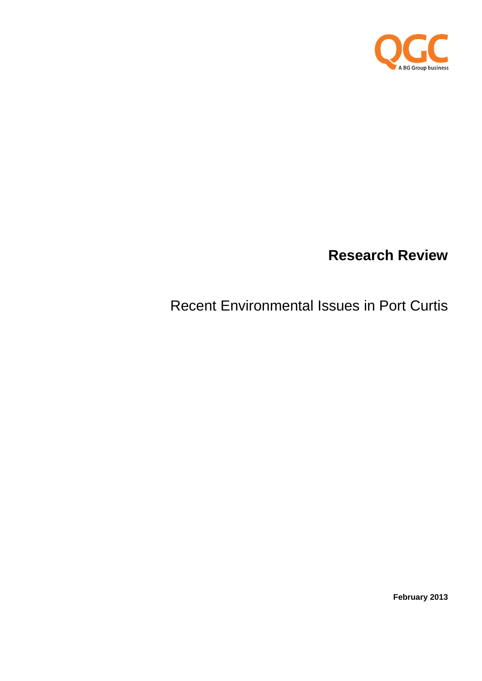

# **Research Review**

# Recent Environmental Issues in Port Curtis

**February 2013**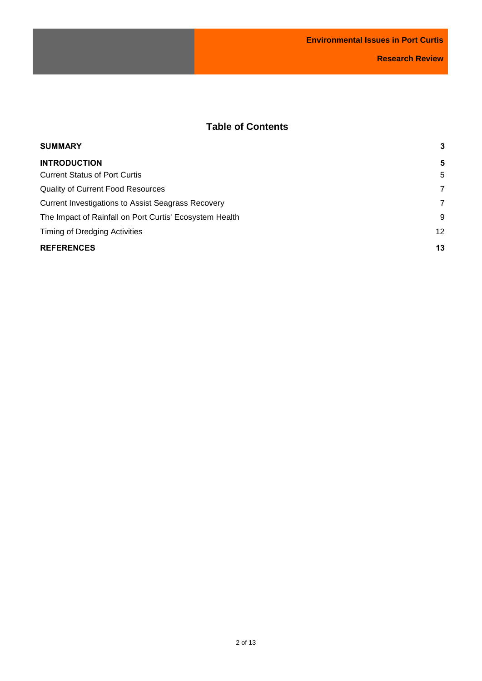# **Table of Contents**

| <b>SUMMARY</b>                                            | 3  |
|-----------------------------------------------------------|----|
| <b>INTRODUCTION</b>                                       | 5  |
| <b>Current Status of Port Curtis</b>                      | 5  |
| <b>Quality of Current Food Resources</b>                  | 7  |
| <b>Current Investigations to Assist Seagrass Recovery</b> | 7  |
| The Impact of Rainfall on Port Curtis' Ecosystem Health   | 9  |
| Timing of Dredging Activities                             | 12 |
| <b>REFERENCES</b>                                         | 13 |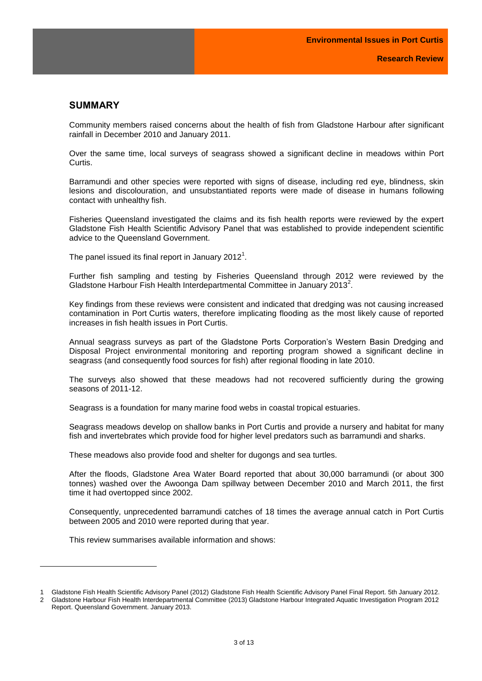# <span id="page-2-0"></span>**SUMMARY**

Community members raised concerns about the health of fish from Gladstone Harbour after significant rainfall in December 2010 and January 2011.

Over the same time, local surveys of seagrass showed a significant decline in meadows within Port Curtis.

Barramundi and other species were reported with signs of disease, including red eye, blindness, skin lesions and discolouration, and unsubstantiated reports were made of disease in humans following contact with unhealthy fish.

Fisheries Queensland investigated the claims and its fish health reports were reviewed by the expert Gladstone Fish Health Scientific Advisory Panel that was established to provide independent scientific advice to the Queensland Government.

The panel issued its final report in January 2012 $^{\rm 1}.$ 

Further fish sampling and testing by Fisheries Queensland through 2012 were reviewed by the Gladstone Harbour Fish Health Interdepartmental Committee in January 2013<sup>2</sup>.

Key findings from these reviews were consistent and indicated that dredging was not causing increased contamination in Port Curtis waters, therefore implicating flooding as the most likely cause of reported increases in fish health issues in Port Curtis.

Annual seagrass surveys as part of the Gladstone Ports Corporation's Western Basin Dredging and Disposal Project environmental monitoring and reporting program showed a significant decline in seagrass (and consequently food sources for fish) after regional flooding in late 2010.

The surveys also showed that these meadows had not recovered sufficiently during the growing seasons of 2011-12.

Seagrass is a foundation for many marine food webs in coastal tropical estuaries.

Seagrass meadows develop on shallow banks in Port Curtis and provide a nursery and habitat for many fish and invertebrates which provide food for higher level predators such as barramundi and sharks.

These meadows also provide food and shelter for dugongs and sea turtles.

After the floods, Gladstone Area Water Board reported that about 30,000 barramundi (or about 300 tonnes) washed over the Awoonga Dam spillway between December 2010 and March 2011, the first time it had overtopped since 2002.

Consequently, unprecedented barramundi catches of 18 times the average annual catch in Port Curtis between 2005 and 2010 were reported during that year.

This review summarises available information and shows:

l

<sup>1</sup> Gladstone Fish Health Scientific Advisory Panel (2012) Gladstone Fish Health Scientific Advisory Panel Final Report. 5th January 2012. 2 Gladstone Harbour Fish Health Interdepartmental Committee (2013) Gladstone Harbour Integrated Aquatic Investigation Program 2012 Report. Queensland Government. January 2013.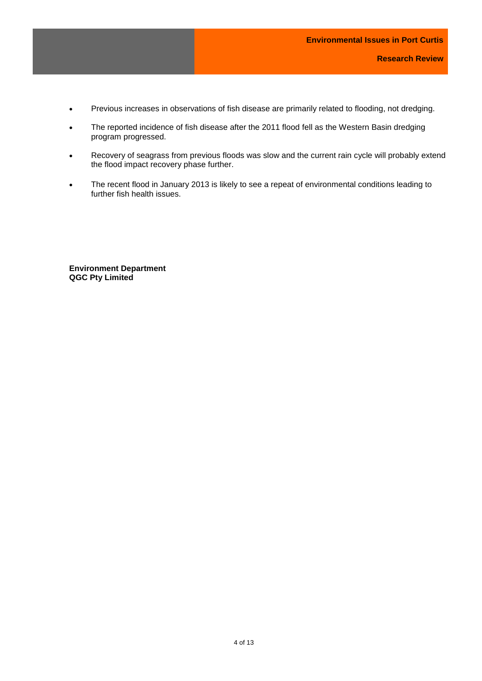- Previous increases in observations of fish disease are primarily related to flooding, not dredging.
- The reported incidence of fish disease after the 2011 flood fell as the Western Basin dredging program progressed.
- Recovery of seagrass from previous floods was slow and the current rain cycle will probably extend the flood impact recovery phase further.
- The recent flood in January 2013 is likely to see a repeat of environmental conditions leading to further fish health issues.

<span id="page-3-0"></span>**Environment Department QGC Pty Limited**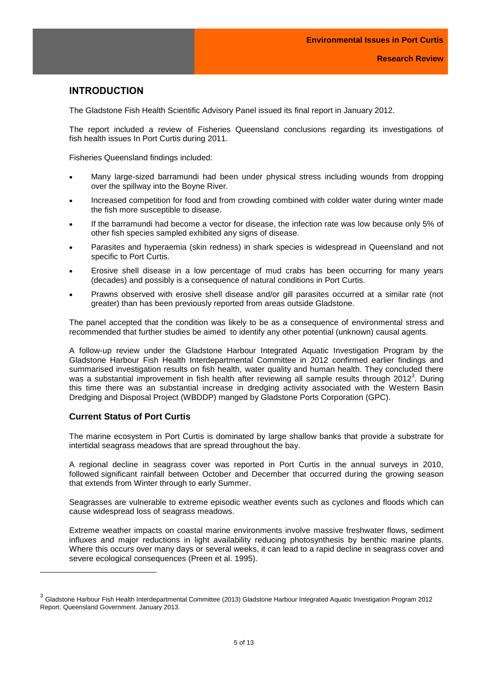# **INTRODUCTION**

The Gladstone Fish Health Scientific Advisory Panel issued its final report in January 2012.

The report included a review of Fisheries Queensland conclusions regarding its investigations of fish health issues In Port Curtis during 2011.

Fisheries Queensland findings included:

- Many large-sized barramundi had been under physical stress including wounds from dropping over the spillway into the Boyne River.
- Increased competition for food and from crowding combined with colder water during winter made the fish more susceptible to disease.
- If the barramundi had become a vector for disease, the infection rate was low because only 5% of other fish species sampled exhibited any signs of disease.
- Parasites and hyperaemia (skin redness) in shark species is widespread in Queensland and not specific to Port Curtis.
- Erosive shell disease in a low percentage of mud crabs has been occurring for many years (decades) and possibly is a consequence of natural conditions in Port Curtis.
- Prawns observed with erosive shell disease and/or gill parasites occurred at a similar rate (not greater) than has been previously reported from areas outside Gladstone.

The panel accepted that the condition was likely to be as a consequence of environmental stress and recommended that further studies be aimed to identify any other potential (unknown) causal agents.

A follow-up review under the Gladstone Harbour Integrated Aquatic Investigation Program by the Gladstone Harbour Fish Health Interdepartmental Committee in 2012 confirmed earlier findings and summarised investigation results on fish health, water quality and human health. They concluded there was a substantial improvement in fish health after reviewing all sample results through 2012<sup>3</sup>. During this time there was an substantial increase in dredging activity associated with the Western Basin Dredging and Disposal Project (WBDDP) manged by Gladstone Ports Corporation (GPC).

## <span id="page-4-0"></span>**Current Status of Port Curtis**

l

The marine ecosystem in Port Curtis is dominated by large shallow banks that provide a substrate for intertidal seagrass meadows that are spread throughout the bay.

A regional decline in seagrass cover was reported in Port Curtis in the annual surveys in 2010, followed significant rainfall between October and December that occurred during the growing season that extends from Winter through to early Summer.

Seagrasses are vulnerable to extreme episodic weather events such as cyclones and floods which can cause widespread loss of seagrass meadows.

Extreme weather impacts on coastal marine environments involve massive freshwater flows, sediment influxes and major reductions in light availability reducing photosynthesis by benthic marine plants. Where this occurs over many days or several weeks, it can lead to a rapid decline in seagrass cover and severe ecological consequences (Preen et al. 1995).

<sup>&</sup>lt;sup>3</sup> Gladstone Harbour Fish Health Interdepartmental Committee (2013) Gladstone Harbour Integrated Aquatic Investigation Program 2012 Report. Queensland Government. January 2013.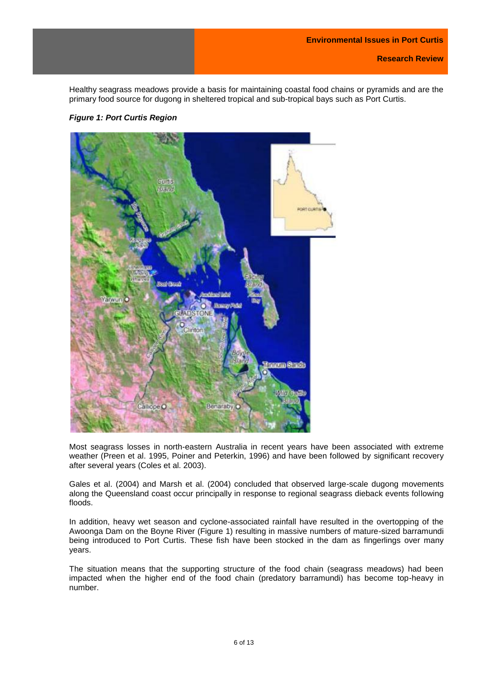Healthy seagrass meadows provide a basis for maintaining coastal food chains or pyramids and are the primary food source for dugong in sheltered tropical and sub-tropical bays such as Port Curtis.



*Figure 1: Port Curtis Region*

Most seagrass losses in north-eastern Australia in recent years have been associated with extreme weather (Preen et al. 1995, Poiner and Peterkin, 1996) and have been followed by significant recovery after several years (Coles et al. 2003).

Gales et al. (2004) and Marsh et al. (2004) concluded that observed large-scale dugong movements along the Queensland coast occur principally in response to regional seagrass dieback events following floods.

In addition, heavy wet season and cyclone-associated rainfall have resulted in the overtopping of the Awoonga Dam on the Boyne River (Figure 1) resulting in massive numbers of mature-sized barramundi being introduced to Port Curtis. These fish have been stocked in the dam as fingerlings over many years.

The situation means that the supporting structure of the food chain (seagrass meadows) had been impacted when the higher end of the food chain (predatory barramundi) has become top-heavy in number.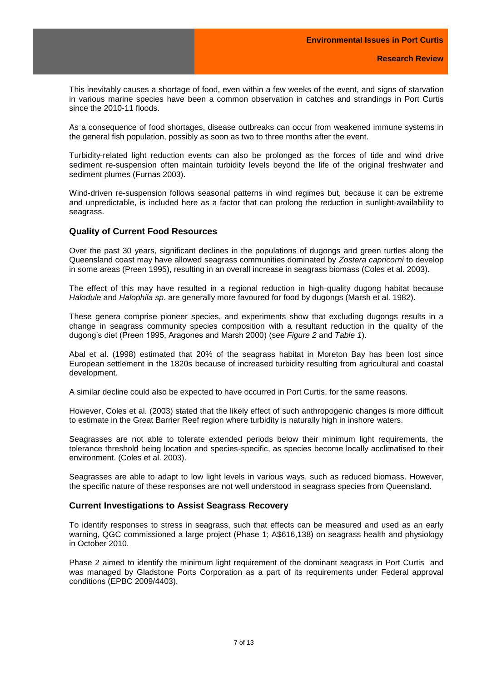This inevitably causes a shortage of food, even within a few weeks of the event, and signs of starvation in various marine species have been a common observation in catches and strandings in Port Curtis since the 2010-11 floods.

As a consequence of food shortages, disease outbreaks can occur from weakened immune systems in the general fish population, possibly as soon as two to three months after the event.

Turbidity-related light reduction events can also be prolonged as the forces of tide and wind drive sediment re-suspension often maintain turbidity levels beyond the life of the original freshwater and sediment plumes (Furnas 2003).

Wind-driven re-suspension follows seasonal patterns in wind regimes but, because it can be extreme and unpredictable, is included here as a factor that can prolong the reduction in sunlight-availability to seagrass.

#### <span id="page-6-0"></span>**Quality of Current Food Resources**

Over the past 30 years, significant declines in the populations of dugongs and green turtles along the Queensland coast may have allowed seagrass communities dominated by *Zostera capricorni* to develop in some areas (Preen 1995), resulting in an overall increase in seagrass biomass (Coles et al. 2003).

The effect of this may have resulted in a regional reduction in high-quality dugong habitat because *Halodule* and *Halophila sp*. are generally more favoured for food by dugongs (Marsh et al. 1982).

These genera comprise pioneer species, and experiments show that excluding dugongs results in a change in seagrass community species composition with a resultant reduction in the quality of the dugong's diet (Preen 1995, Aragones and Marsh 2000) (see *Figure 2* and *Table 1*).

Abal et al. (1998) estimated that 20% of the seagrass habitat in Moreton Bay has been lost since European settlement in the 1820s because of increased turbidity resulting from agricultural and coastal development.

A similar decline could also be expected to have occurred in Port Curtis, for the same reasons.

However, Coles et al. (2003) stated that the likely effect of such anthropogenic changes is more difficult to estimate in the Great Barrier Reef region where turbidity is naturally high in inshore waters.

Seagrasses are not able to tolerate extended periods below their minimum light requirements, the tolerance threshold being location and species-specific, as species become locally acclimatised to their environment. (Coles et al. 2003).

Seagrasses are able to adapt to low light levels in various ways, such as reduced biomass. However, the specific nature of these responses are not well understood in seagrass species from Queensland.

### <span id="page-6-1"></span>**Current Investigations to Assist Seagrass Recovery**

To identify responses to stress in seagrass, such that effects can be measured and used as an early warning, QGC commissioned a large project (Phase 1; A\$616,138) on seagrass health and physiology in October 2010.

Phase 2 aimed to identify the minimum light requirement of the dominant seagrass in Port Curtis and was managed by Gladstone Ports Corporation as a part of its requirements under Federal approval conditions (EPBC 2009/4403).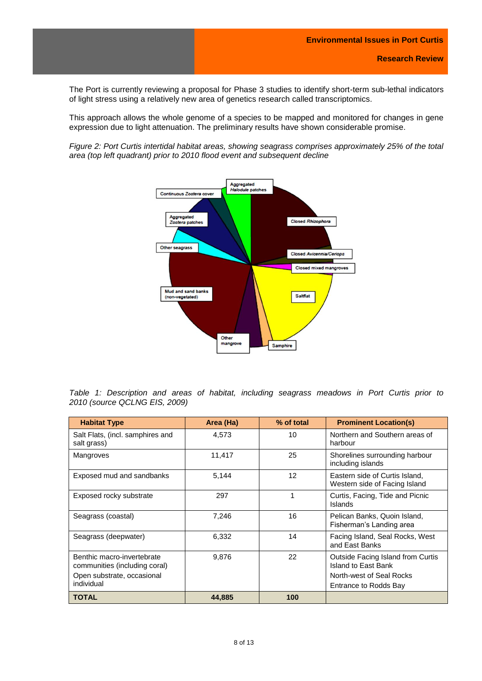The Port is currently reviewing a proposal for Phase 3 studies to identify short-term sub-lethal indicators of light stress using a relatively new area of genetics research called transcriptomics.

This approach allows the whole genome of a species to be mapped and monitored for changes in gene expression due to light attenuation. The preliminary results have shown considerable promise.

*Figure 2: Port Curtis intertidal habitat areas, showing seagrass comprises approximately 25% of the total area (top left quadrant) prior to 2010 flood event and subsequent decline*



|                               |  | Table 1: Description and areas of habitat, including seagrass meadows in Port Curtis prior to |  |  |  |  |  |  |  |  |  |  |  |  |
|-------------------------------|--|-----------------------------------------------------------------------------------------------|--|--|--|--|--|--|--|--|--|--|--|--|
| 2010 (source QCLNG EIS, 2009) |  |                                                                                               |  |  |  |  |  |  |  |  |  |  |  |  |

| <b>Habitat Type</b>                                                                       | Area (Ha) | % of total | <b>Prominent Location(s)</b>                                                                |
|-------------------------------------------------------------------------------------------|-----------|------------|---------------------------------------------------------------------------------------------|
| Salt Flats, (incl. samphires and<br>salt grass)                                           | 4,573     | 10         | Northern and Southern areas of<br>harbour                                                   |
| Mangroves                                                                                 | 11,417    | 25         | Shorelines surrounding harbour<br>including islands                                         |
| Exposed mud and sandbanks                                                                 | 5,144     | 12         | Eastern side of Curtis Island,<br>Western side of Facing Island                             |
| Exposed rocky substrate                                                                   | 297       | 1          | Curtis, Facing, Tide and Picnic<br>Islands                                                  |
| Seagrass (coastal)                                                                        | 7,246     | 16         | Pelican Banks, Quoin Island,<br>Fisherman's Landing area                                    |
| Seagrass (deepwater)                                                                      | 6,332     | 14         | Facing Island, Seal Rocks, West<br>and East Banks                                           |
| Benthic macro-invertebrate<br>communities (including coral)<br>Open substrate, occasional | 9,876     | 22         | <b>Outside Facing Island from Curtis</b><br>Island to East Bank<br>North-west of Seal Rocks |
| individual                                                                                |           |            | Entrance to Rodds Bay                                                                       |
| <b>TOTAL</b>                                                                              | 44,885    | 100        |                                                                                             |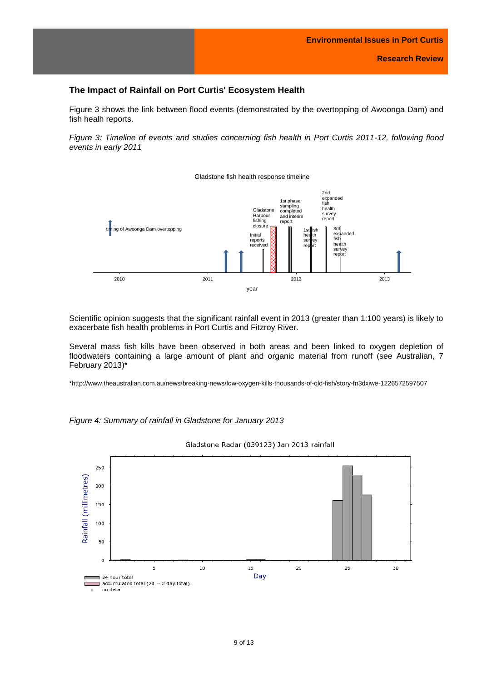# <span id="page-8-0"></span>**The Impact of Rainfall on Port Curtis' Ecosystem Health**

Figure 3 shows the link between flood events (demonstrated by the overtopping of Awoonga Dam) and fish healh reports.

*Figure 3: Timeline of events and studies concerning fish health in Port Curtis 2011-12, following flood events in early 2011*



Gladstone fish health response timeline

Scientific opinion suggests that the significant rainfall event in 2013 (greater than 1:100 years) is likely to exacerbate fish health problems in Port Curtis and Fitzroy River.

Several mass fish kills have been observed in both areas and been linked to oxygen depletion of floodwaters containing a large amount of plant and organic material from runoff (see Australian, 7 February 2013)\*

\*http://www.theaustralian.com.au/news/breaking-news/low-oxygen-kills-thousands-of-qld-fish/story-fn3dxiwe-1226572597507



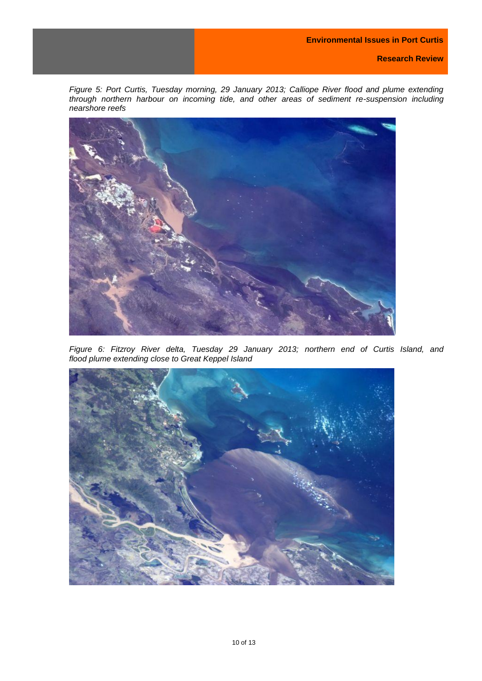*Figure 5: Port Curtis, Tuesday morning, 29 January 2013; Calliope River flood and plume extending through northern harbour on incoming tide, and other areas of sediment re-suspension including nearshore reefs*



*Figure 6: Fitzroy River delta, Tuesday 29 January 2013; northern end of Curtis Island, and flood plume extending close to Great Keppel Island*

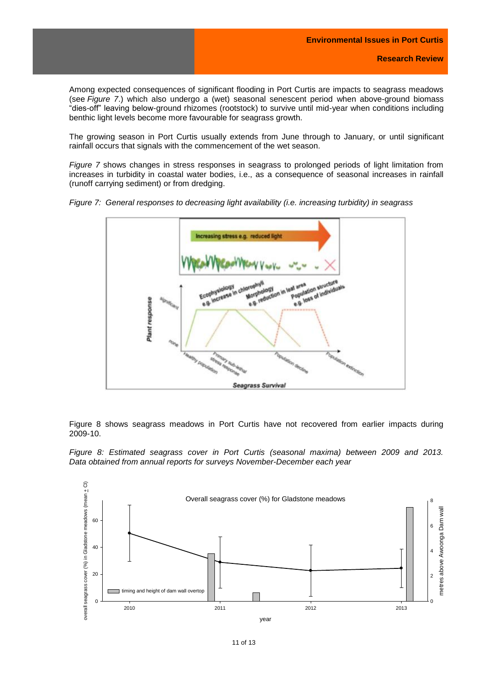Among expected consequences of significant flooding in Port Curtis are impacts to seagrass meadows (see *Figure 7*.) which also undergo a (wet) seasonal senescent period when above-ground biomass "dies-off" leaving below-ground rhizomes (rootstock) to survive until mid-year when conditions including benthic light levels become more favourable for seagrass growth.

The growing season in Port Curtis usually extends from June through to January, or until significant rainfall occurs that signals with the commencement of the wet season.

*Figure 7* shows changes in stress responses in seagrass to prolonged periods of light limitation from increases in turbidity in coastal water bodies, i.e., as a consequence of seasonal increases in rainfall (runoff carrying sediment) or from dredging.



*Figure 7: General responses to decreasing light availability (i.e. increasing turbidity) in seagrass*

Figure 8 shows seagrass meadows in Port Curtis have not recovered from earlier impacts during 2009-10.

*Figure 8: Estimated seagrass cover in Port Curtis (seasonal maxima) between 2009 and 2013. Data obtained from annual reports for surveys November-December each year*

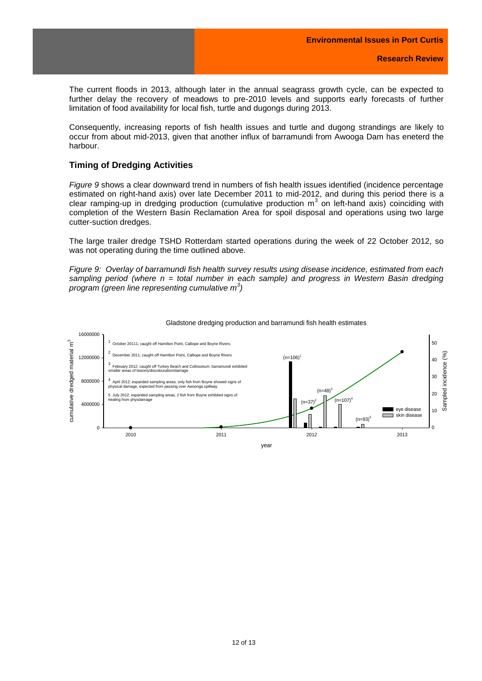The current floods in 2013, although later in the annual seagrass growth cycle, can be expected to further delay the recovery of meadows to pre-2010 levels and supports early forecasts of further limitation of food availability for local fish, turtle and dugongs during 2013.

Consequently, increasing reports of fish health issues and turtle and dugong strandings are likely to occur from about mid-2013, given that another influx of barramundi from Awooga Dam has eneterd the harbour.

## <span id="page-11-0"></span>**Timing of Dredging Activities**

*Figure 9* shows a clear downward trend in numbers of fish health issues identified (incidence percentage estimated on right-hand axis) over late December 2011 to mid-2012, and during this period there is a clear ramping-up in dredging production (cumulative production m<sup>3</sup> on left-hand axis) coinciding with completion of the Western Basin Reclamation Area for spoil disposal and operations using two large cutter-suction dredges.

The large trailer dredge TSHD Rotterdam started operations during the week of 22 October 2012, so was not operating during the time outlined above.

*Figure 9: Overlay of barramundi fish health survey results using disease incidence, estimated from each sampling period (where n = total number in each sample) and progress in Western Basin dredging program (green line representing cumulative m<sup>3</sup> )*